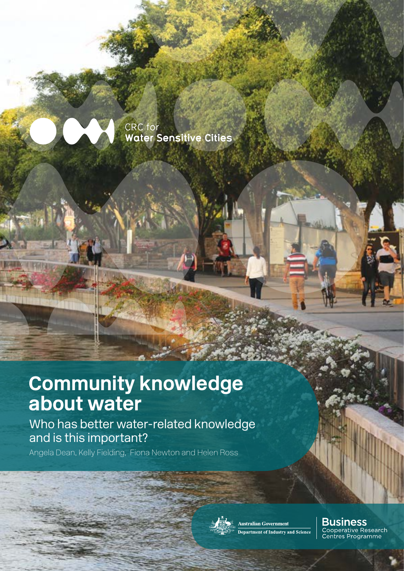

37,410

CRC for **Water Sensitive Cities** 

# **Community knowledge about water**

Who has better water-related knowledge and is this important?

Angela Dean, Kelly Fielding, Fiona Newton and Helen Ross



Australian Government Department of Industry and Science **Business**<br>Cooperative Research<br>Centres Programme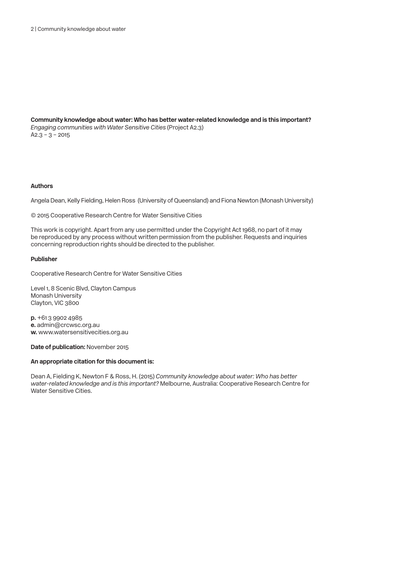**Community knowledge about water: Who has better water-related knowledge and is this important?** *Engaging communities with Water Sensitive Cities* (Project A2.3)  $A2.3 - 3 - 2015$ 

#### **Authors**

Angela Dean, Kelly Fielding, Helen Ross (University of Queensland) and Fiona Newton (Monash University)

© 2015 Cooperative Research Centre for Water Sensitive Cities

This work is copyright. Apart from any use permitted under the Copyright Act 1968, no part of it may be reproduced by any process without written permission from the publisher. Requests and inquiries concerning reproduction rights should be directed to the publisher.

#### **Publisher**

Cooperative Research Centre for Water Sensitive Cities

Level 1, 8 Scenic Blvd, Clayton Campus Monash University Clayton, VIC 3800

**p.** +61 3 9902 4985 **e.** admin@crcwsc.org.au **w.** www.watersensitivecities.org.au

**Date of publication:** November 2015

#### **An appropriate citation for this document is:**

Dean A, Fielding K, Newton F & Ross, H. (2015) *Community knowledge about water: Who has better water-related knowledge and is this important?* Melbourne, Australia: Cooperative Research Centre for Water Sensitive Cities.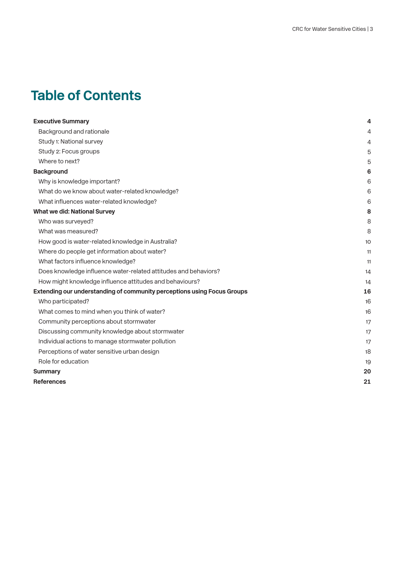# **Table of Contents**

| <b>Executive Summary</b>                                                | 4  |
|-------------------------------------------------------------------------|----|
| Background and rationale                                                | 4  |
| Study 1: National survey                                                | 4  |
| Study 2: Focus groups                                                   | 5  |
| Where to next?                                                          | 5  |
| <b>Background</b>                                                       | 6  |
| Why is knowledge important?                                             | 6  |
| What do we know about water-related knowledge?                          | 6  |
| What influences water-related knowledge?                                | 6  |
| What we did: National Survey                                            | 8  |
| Who was surveyed?                                                       | 8  |
| What was measured?                                                      | 8  |
| How good is water-related knowledge in Australia?                       | 10 |
| Where do people get information about water?                            | 11 |
| What factors influence knowledge?                                       | 11 |
| Does knowledge influence water-related attitudes and behaviors?         | 14 |
| How might knowledge influence attitudes and behaviours?                 | 14 |
| Extending our understanding of community perceptions using Focus Groups | 16 |
| Who participated?                                                       | 16 |
| What comes to mind when you think of water?                             | 16 |
| Community perceptions about stormwater                                  | 17 |
| Discussing community knowledge about stormwater                         | 17 |
| Individual actions to manage stormwater pollution                       | 17 |
| Perceptions of water sensitive urban design                             | 18 |
| Role for education                                                      | 19 |
| <b>Summary</b>                                                          | 20 |
| <b>References</b>                                                       | 21 |
|                                                                         |    |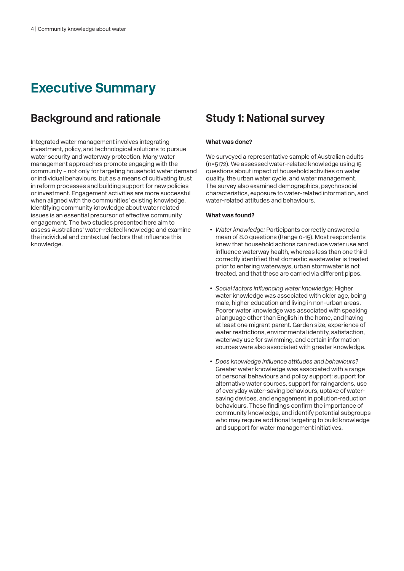# **Executive Summary**

## **Background and rationale**

Integrated water management involves integrating investment, policy, and technological solutions to pursue water security and waterway protection. Many water management approaches promote engaging with the community – not only for targeting household water demand or individual behaviours, but as a means of cultivating trust in reform processes and building support for new policies or investment. Engagement activities are more successful when aligned with the communities' existing knowledge. Identifying community knowledge about water related issues is an essential precursor of effective community engagement. The two studies presented here aim to assess Australians' water-related knowledge and examine the individual and contextual factors that influence this knowledge.

## **Study 1: National survey**

#### **What was done?**

We surveyed a representative sample of Australian adults (n=5172). We assessed water-related knowledge using 15 questions about impact of household activities on water quality, the urban water cycle, and water management. The survey also examined demographics, psychosocial characteristics, exposure to water-related information, and water-related attitudes and behaviours.

#### **What was found?**

- *Water knowledge:* Participants correctly answered a mean of 8.0 questions (Range 0-15). Most respondents knew that household actions can reduce water use and influence waterway health, whereas less than one third correctly identified that domestic wastewater is treated prior to entering waterways, urban stormwater is not treated, and that these are carried via different pipes.
- *Social factors influencing water knowledge:* Higher water knowledge was associated with older age, being male, higher education and living in non-urban areas. Poorer water knowledge was associated with speaking a language other than English in the home, and having at least one migrant parent. Garden size, experience of water restrictions, environmental identity, satisfaction, waterway use for swimming, and certain information sources were also associated with greater knowledge.
- *Does knowledge influence attitudes and behaviours?* Greater water knowledge was associated with a range of personal behaviours and policy support: support for alternative water sources, support for raingardens, use of everyday water-saving behaviours, uptake of watersaving devices, and engagement in pollution-reduction behaviours. These findings confirm the importance of community knowledge, and identify potential subgroups who may require additional targeting to build knowledge and support for water management initiatives.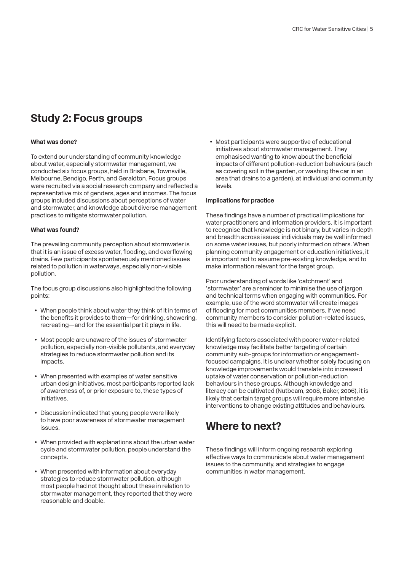## **Study 2: Focus groups**

#### **What was done?**

To extend our understanding of community knowledge about water, especially stormwater management, we conducted six focus groups, held in Brisbane, Townsville, Melbourne, Bendigo, Perth, and Geraldton. Focus groups were recruited via a social research company and reflected a representative mix of genders, ages and incomes. The focus groups included discussions about perceptions of water and stormwater, and knowledge about diverse management practices to mitigate stormwater pollution.

#### **What was found?**

The prevailing community perception about stormwater is that it is an issue of excess water, flooding, and overflowing drains. Few participants spontaneously mentioned issues related to pollution in waterways, especially non-visible pollution.

The focus group discussions also highlighted the following points:

- When people think about water they think of it in terms of the benefits it provides to them—for drinking, showering, recreating—and for the essential part it plays in life.
- Most people are unaware of the issues of stormwater pollution, especially non-visible pollutants, and everyday strategies to reduce stormwater pollution and its impacts.
- When presented with examples of water sensitive urban design initiatives, most participants reported lack of awareness of, or prior exposure to, these types of initiatives.
- Discussion indicated that young people were likely to have poor awareness of stormwater management issues.
- When provided with explanations about the urban water cycle and stormwater pollution, people understand the concepts.
- When presented with information about everyday strategies to reduce stormwater pollution, although most people had not thought about these in relation to stormwater management, they reported that they were reasonable and doable.

• Most participants were supportive of educational initiatives about stormwater management. They emphasised wanting to know about the beneficial impacts of different pollution-reduction behaviours (such as covering soil in the garden, or washing the car in an area that drains to a garden), at individual and community levels.

#### **Implications for practice**

These findings have a number of practical implications for water practitioners and information providers. It is important to recognise that knowledge is not binary, but varies in depth and breadth across issues: individuals may be well informed on some water issues, but poorly informed on others. When planning community engagement or education initiatives, it is important not to assume pre-existing knowledge, and to make information relevant for the target group.

Poor understanding of words like 'catchment' and 'stormwater' are a reminder to minimise the use of jargon and technical terms when engaging with communities. For example, use of the word stormwater will create images of flooding for most communities members. If we need community members to consider pollution-related issues, this will need to be made explicit.

Identifying factors associated with poorer water-related knowledge may facilitate better targeting of certain community sub-groups for information or engagementfocused campaigns. It is unclear whether solely focusing on knowledge improvements would translate into increased uptake of water conservation or pollution-reduction behaviours in these groups. Although knowledge and literacy can be cultivated (Nutbeam, 2008, Baker, 2006), it is likely that certain target groups will require more intensive interventions to change existing attitudes and behaviours.

## **Where to next?**

These findings will inform ongoing research exploring effective ways to communicate about water management issues to the community, and strategies to engage communities in water management.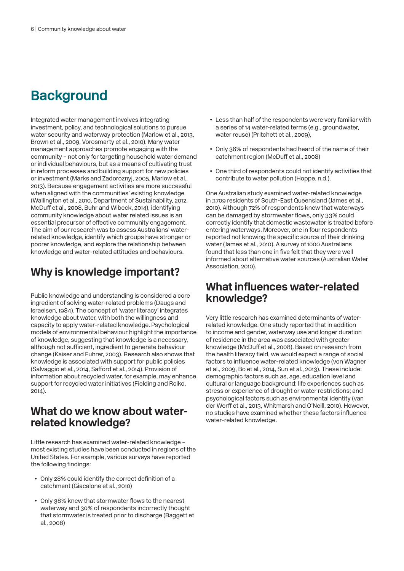# **Background**

Integrated water management involves integrating investment, policy, and technological solutions to pursue water security and waterway protection (Marlow et al., 2013, Brown et al., 2009, Vorosmarty et al., 2010). Many water management approaches promote engaging with the community – not only for targeting household water demand or individual behaviours, but as a means of cultivating trust in reform processes and building support for new policies or investment (Marks and Zadoroznyj, 2005, Marlow et al., 2013). Because engagement activities are more successful when aligned with the communities' existing knowledge (Wallington et al., 2010, Department of Sustainability, 2012, McDuff et al., 2008, Buhr and Wibeck, 2014), identifying community knowledge about water related issues is an essential precursor of effective community engagement. The aim of our research was to assess Australians' waterrelated knowledge, identify which groups have stronger or poorer knowledge, and explore the relationship between knowledge and water-related attitudes and behaviours.

## **Why is knowledge important?**

Public knowledge and understanding is considered a core ingredient of solving water-related problems (Daugs and Israelsen, 1984). The concept of 'water literacy' integrates knowledge about water, with both the willingness and capacity to apply water-related knowledge. Psychological models of environmental behaviour highlight the importance of knowledge, suggesting that knowledge is a necessary, although not sufficient, ingredient to generate behaviour change (Kaiser and Fuhrer, 2003). Research also shows that knowledge is associated with support for public policies (Salvaggio et al., 2014, Safford et al., 2014). Provision of information about recycled water, for example, may enhance support for recycled water initiatives (Fielding and Roiko, 2014).

#### **What do we know about waterrelated knowledge?**

Little research has examined water-related knowledge – most existing studies have been conducted in regions of the United States. For example, various surveys have reported the following findings:

- Only 28% could identify the correct definition of a catchment (Giacalone et al., 2010)
- Only 38% knew that stormwater flows to the nearest waterway and 30% of respondents incorrectly thought that stormwater is treated prior to discharge (Baggett et al., 2008)
- Less than half of the respondents were very familiar with a series of 14 water-related terms (e.g., groundwater, water reuse) (Pritchett et al., 2009),
- Only 36% of respondents had heard of the name of their catchment region (McDuff et al., 2008)
- One third of respondents could not identify activities that contribute to water pollution (Hoppe, n.d.).

One Australian study examined water-related knowledge in 3709 residents of South-East Queensland (James et al., 2010). Although 72% of respondents knew that waterways can be damaged by stormwater flows, only 33% could correctly identify that domestic wastewater is treated before entering waterways. Moreover, one in four respondents reported not knowing the specific source of their drinking water (James et al., 2010). A survey of 1000 Australians found that less than one in five felt that they were well informed about alternative water sources (Australian Water Association, 2010).

#### **What influences water-related knowledge?**

Very little research has examined determinants of waterrelated knowledge. One study reported that in addition to income and gender, waterway use and longer duration of residence in the area was associated with greater knowledge (McDuff et al., 2008). Based on research from the health literacy field, we would expect a range of social factors to influence water-related knowledge (von Wagner et al., 2009, Bo et al., 2014, Sun et al., 2013). These include: demographic factors such as, age, education level and cultural or language background; life experiences such as stress or experience of drought or water restrictions; and psychological factors such as environmental identity (van der Werff et al., 2013, Whitmarsh and O'Neill, 2010). However, no studies have examined whether these factors influence water-related knowledge.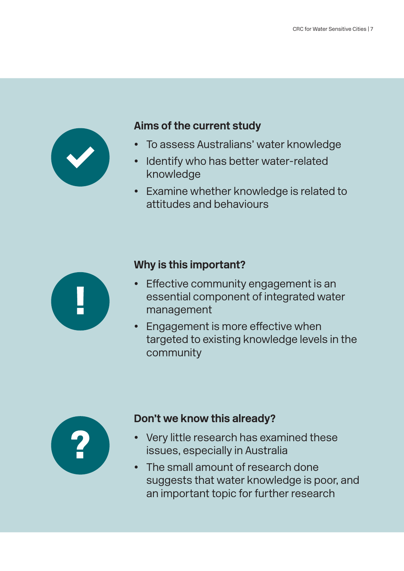

## **Aims of the current study**

- To assess Australians' water knowledge
- Identify who has better water-related knowledge
- Examine whether knowledge is related to attitudes and behaviours



## **Why is this important?**

- Effective community engagement is an essential component of integrated water management
- Engagement is more effective when targeted to existing knowledge levels in the community



## **Don't we know this already?**

- Very little research has examined these issues, especially in Australia
- The small amount of research done suggests that water knowledge is poor, and an important topic for further research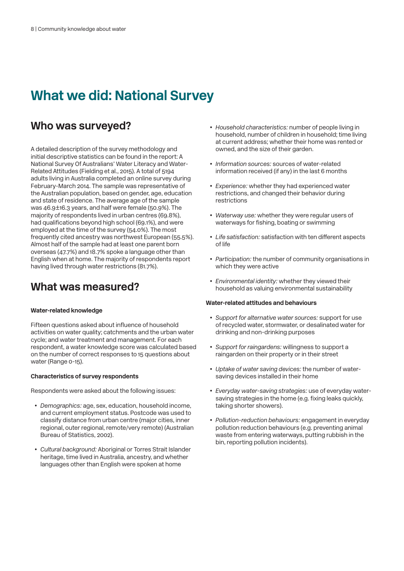# **What we did: National Survey**

## **Who was surveyed?**

A detailed description of the survey methodology and initial descriptive statistics can be found in the report: A National Survey Of Australians' Water Literacy and Water-Related Attitudes (Fielding et al., 2015). A total of 5194 adults living in Australia completed an online survey during February-March 2014. The sample was representative of the Australian population, based on gender, age, education and state of residence. The average age of the sample was 46.9±16.3 years, and half were female (50.9%). The majority of respondents lived in urban centres (69.8%), had qualifications beyond high school (69.1%), and were employed at the time of the survey (54.0%). The most frequently cited ancestry was northwest European (55.5%). Almost half of the sample had at least one parent born overseas (47.7%) and 18.7% spoke a language other than English when at home. The majority of respondents report having lived through water restrictions (81.7%).

#### **What was measured?**

#### **Water-related knowledge**

Fifteen questions asked about influence of household activities on water quality; catchments and the urban water cycle; and water treatment and management. For each respondent, a water knowledge score was calculated based on the number of correct responses to 15 questions about water (Range 0-15).

#### **Characteristics of survey respondents**

Respondents were asked about the following issues:

- *Demographics:* age, sex, education, household income, and current employment status. Postcode was used to classify distance from urban centre (major cities, inner regional, outer regional, remote/very remote) (Australian Bureau of Statistics, 2002).
- *Cultural background:* Aboriginal or Torres Strait Islander heritage, time lived in Australia, ancestry, and whether languages other than English were spoken at home
- *Household characteristics:* number of people living in household, number of children in household; time living at current address; whether their home was rented or owned, and the size of their garden.
- *Information sources:* sources of water-related information received (if any) in the last 6 months
- *Experience:* whether they had experienced water restrictions, and changed their behavior during restrictions
- *Waterway use:* whether they were regular users of waterways for fishing, boating or swimming
- *Life satisfaction:* satisfaction with ten different aspects of life
- *Participation:* the number of community organisations in which they were active
- *Environmental identity:* whether they viewed their household as valuing environmental sustainability

#### **Water-related attitudes and behaviours**

- *Support for alternative water sources:* support for use of recycled water, stormwater, or desalinated water for drinking and non-drinking purposes
- *Support for raingardens:* willingness to support a raingarden on their property or in their street
- *Uptake of water saving devices:* the number of watersaving devices installed in their home
- *Everyday water-saving strategies:* use of everyday watersaving strategies in the home (e.g. fixing leaks quickly, taking shorter showers).
- *Pollution-reduction behaviours:* engagement in everyday pollution reduction behaviours (e.g. preventing animal waste from entering waterways, putting rubbish in the bin, reporting pollution incidents).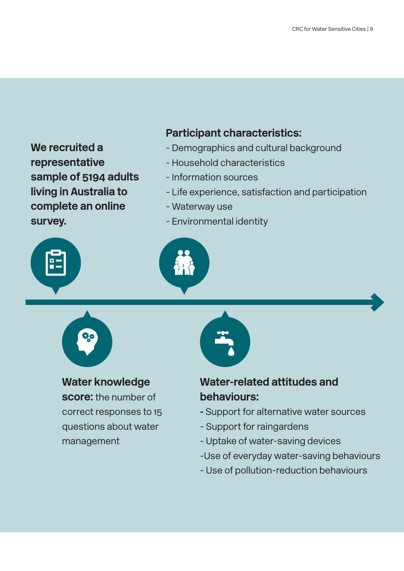**We recruited a representative sample of 5194 adults living in Australia to complete an online survey.**



**Water knowledge score:** the number of correct responses to 15 questions about water management

## **Participant characteristics:**

- Demographics and cultural background
- Household characteristics
- Information sources
- Life experience, satisfaction and participation
- Waterway use
- Environmental identity





## **Water-related attitudes and behaviours:**

- Support for alternative water sources
- Support for raingardens
- Uptake of water-saving devices
- -Use of everyday water-saving behaviours
- Use of pollution-reduction behaviours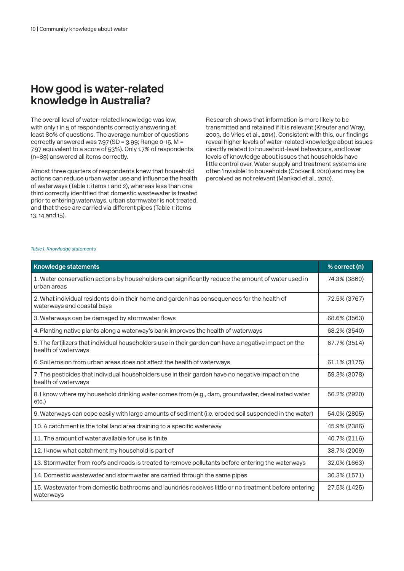#### **How good is water-related knowledge in Australia?**

The overall level of water-related knowledge was low, with only 1 in 5 of respondents correctly answering at least 80% of questions. The average number of questions correctly answered was 7.97 (SD = 3.99; Range 0-15, M = 7.97 equivalent to a score of 53%). Only 1.7% of respondents (n=89) answered all items correctly.

Almost three quarters of respondents knew that household actions can reduce urban water use and influence the health of waterways (Table 1: items 1 and 2), whereas less than one third correctly identified that domestic wastewater is treated prior to entering waterways, urban stormwater is not treated, and that these are carried via different pipes (Table 1: items 13, 14 and 15).

Research shows that information is more likely to be transmitted and retained if it is relevant (Kreuter and Wray, 2003, de Vries et al., 2014). Consistent with this, our findings reveal higher levels of water-related knowledge about issues directly related to household-level behaviours, and lower levels of knowledge about issues that households have little control over. Water supply and treatment systems are often 'invisible' to households (Cockerill, 2010) and may be perceived as not relevant (Mankad et al., 2010).

#### *Table 1. Knowledge statements*

| <b>Knowledge statements</b>                                                                                                  | % correct (n) |
|------------------------------------------------------------------------------------------------------------------------------|---------------|
| 1. Water conservation actions by householders can significantly reduce the amount of water used in<br>urban areas            | 74.3% (3860)  |
| 2. What individual residents do in their home and garden has consequences for the health of<br>waterways and coastal bays    | 72.5% (3767)  |
| 3. Waterways can be damaged by stormwater flows                                                                              | 68.6% (3563)  |
| 4. Planting native plants along a waterway's bank improves the health of waterways                                           | 68.2% (3540)  |
| 5. The fertilizers that individual householders use in their garden can have a negative impact on the<br>health of waterways | 67.7% (3514)  |
| 6. Soil erosion from urban areas does not affect the health of waterways                                                     | 61.1% (3175)  |
| 7. The pesticides that individual householders use in their garden have no negative impact on the<br>health of waterways     | 59.3% (3078)  |
| 8. I know where my household drinking water comes from (e.g., dam, groundwater, desalinated water<br>etc.)                   | 56.2% (2920)  |
| 9. Waterways can cope easily with large amounts of sediment (i.e. eroded soil suspended in the water)                        | 54.0% (2805)  |
| 10. A catchment is the total land area draining to a specific waterway                                                       | 45.9% (2386)  |
| 11. The amount of water available for use is finite                                                                          | 40.7% (2116)  |
| 12. I know what catchment my household is part of                                                                            | 38.7% (2009)  |
| 13. Stormwater from roofs and roads is treated to remove pollutants before entering the waterways                            | 32.0% (1663)  |
| 14. Domestic wastewater and stormwater are carried through the same pipes                                                    | 30.3% (1571)  |
| 15. Wastewater from domestic bathrooms and laundries receives little or no treatment before entering<br>waterways            | 27.5% (1425)  |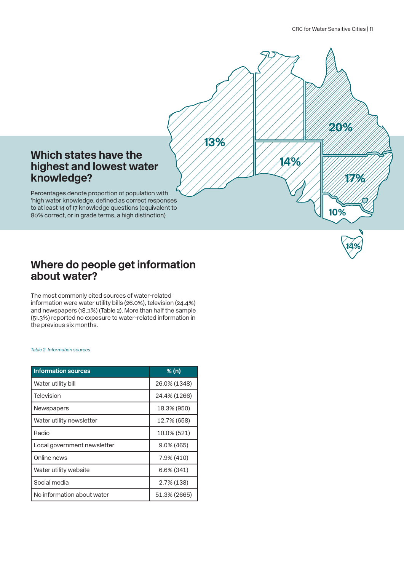

# **Where do people get information**

The most commonly cited sources of water-related information were water utility bills (26.0%), television (24.4%) and newspapers (18.3%) (Table 2). More than half the sample (51.3%) reported no exposure to water-related information in the previous six months.

*Table 2. Information sources*

**about water?** 

**knowledge?**

| <b>Information sources</b>  | % (n)         |
|-----------------------------|---------------|
| Water utility bill          | 26.0% (1348)  |
| Television                  | 24.4% (1266)  |
| <b>Newspapers</b>           | 18.3% (950)   |
| Water utility newsletter    | 12.7% (658)   |
| Radio                       | 10.0% (521)   |
| Local government newsletter | $9.0\%$ (465) |
| Online news                 | 7.9% (410)    |
| Water utility website       | 6.6% (341)    |
| Social media                | 2.7% (138)    |
| No information about water  | 51.3% (2665)  |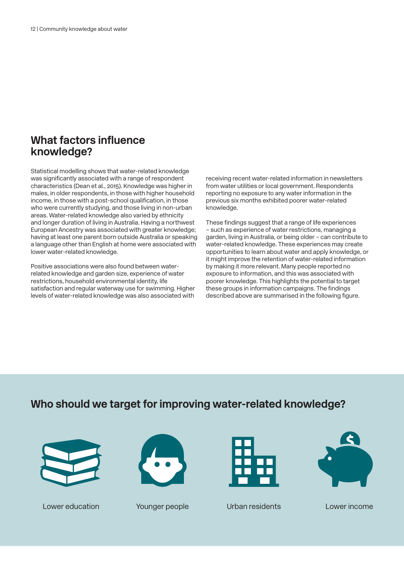## **What factors influence knowledge?**

Statistical modelling shows that water-related knowledge was significantly associated with a range of respondent characteristics (Dean et al., 2015). Knowledge was higher in males, in older respondents, in those with higher household income, in those with a post-school qualification, in those who were currently studying, and those living in non-urban areas. Water-related knowledge also varied by ethnicity and longer duration of living in Australia. Having a northwest European Ancestry was associated with greater knowledge; having at least one parent born outside Australia or speaking a language other than English at home were associated with lower water-related knowledge.

Positive associations were also found between waterrelated knowledge and garden size, experience of water restrictions, household environmental identity, life satisfaction and regular waterway use for swimming. Higher levels of water-related knowledge was also associated with receiving recent water-related information in newsletters from water utilities or local government. Respondents reporting no exposure to any water information in the previous six months exhibited poorer water-related knowledge.

These findings suggest that a range of life experiences – such as experience of water restrictions, managing a garden, living in Australia, or being older – can contribute to water-related knowledge. These experiences may create opportunities to learn about water and apply knowledge, or it might improve the retention of water-related information by making it more relevant. Many people reported no exposure to information, and this was associated with poorer knowledge. This highlights the potential to target these groups in information campaigns. The findings described above are summarised in the following figure.

## **Who should we target for improving water-related knowledge?**









Lower education Younger people Urban residents Lower income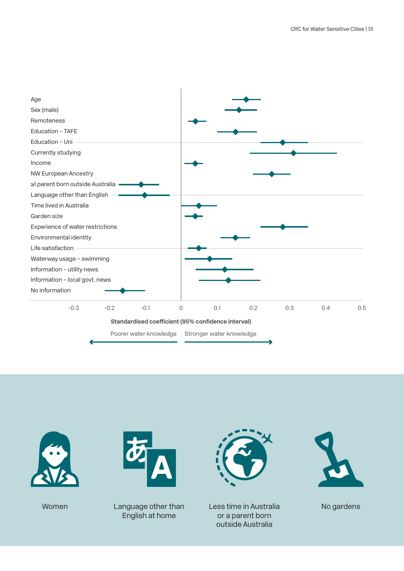





Women Language other than English at home



Less time in Australia or a parent born outside Australia



No gardens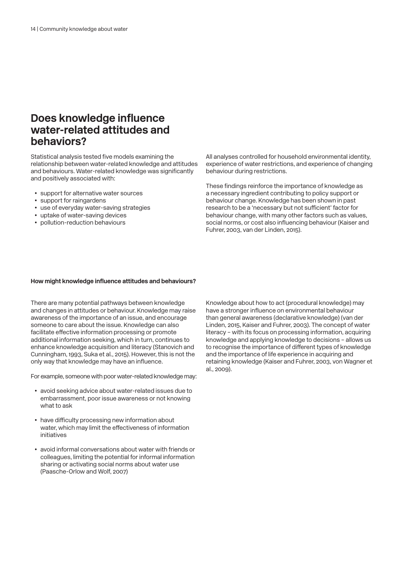#### **Does knowledge influence water-related attitudes and behaviors?**

Statistical analysis tested five models examining the relationship between water-related knowledge and attitudes and behaviours. Water-related knowledge was significantly and positively associated with:

- support for alternative water sources
- support for raingardens
- use of everyday water-saving strategies
- uptake of water-saving devices
- pollution-reduction behaviours

All analyses controlled for household environmental identity, experience of water restrictions, and experience of changing behaviour during restrictions.

These findings reinforce the importance of knowledge as a necessary ingredient contributing to policy support or behaviour change. Knowledge has been shown in past research to be a 'necessary but not sufficient' factor for behaviour change, with many other factors such as values, social norms, or cost also influencing behaviour (Kaiser and Fuhrer, 2003, van der Linden, 2015).

#### **How might knowledge influence attitudes and behaviours?**

There are many potential pathways between knowledge and changes in attitudes or behaviour. Knowledge may raise awareness of the importance of an issue, and encourage someone to care about the issue. Knowledge can also facilitate effective information processing or promote additional information seeking, which in turn, continues to enhance knowledge acquisition and literacy (Stanovich and Cunningham, 1993, Suka et al., 2015). However, this is not the only way that knowledge may have an influence.

For example, someone with poor water-related knowledge may:

- avoid seeking advice about water-related issues due to embarrassment, poor issue awareness or not knowing what to ask
- have difficulty processing new information about water, which may limit the effectiveness of information initiatives
- avoid informal conversations about water with friends or colleagues, limiting the potential for informal information sharing or activating social norms about water use (Paasche-Orlow and Wolf, 2007)

Knowledge about how to act (procedural knowledge) may have a stronger influence on environmental behaviour than general awareness (declarative knowledge) (van der Linden, 2015, Kaiser and Fuhrer, 2003). The concept of water literacy – with its focus on processing information, acquiring knowledge and applying knowledge to decisions – allows us to recognise the importance of different types of knowledge and the importance of life experience in acquiring and retaining knowledge (Kaiser and Fuhrer, 2003, von Wagner et al., 2009).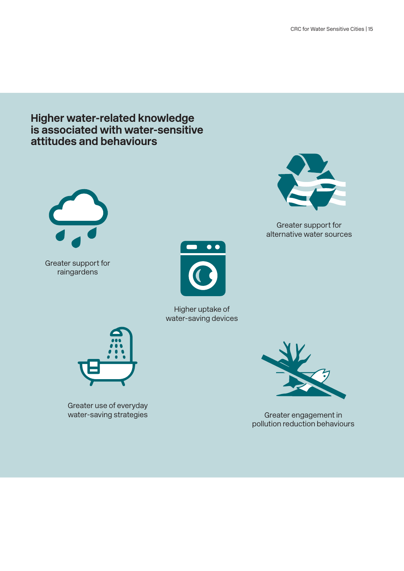#### **Higher water-related knowledge is associated with water-sensitive attitudes and behaviours**



Greater support for raingardens



Higher uptake of water-saving devices



Greater use of everyday



water-saving strategies Greater engagement in pollution reduction behaviours



Greater support for alternative water sources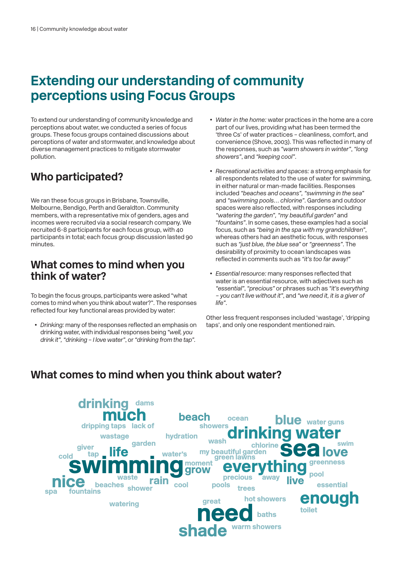# **Extending our understanding of community perceptions using Focus Groups**

To extend our understanding of community knowledge and perceptions about water, we conducted a series of focus groups. These focus groups contained discussions about perceptions of water and stormwater, and knowledge about diverse management practices to mitigate stormwater pollution.

## **Who participated?**

We ran these focus groups in Brisbane, Townsville, Melbourne, Bendigo, Perth and Geraldton. Community members, with a representative mix of genders, ages and incomes were recruited via a social research company. We recruited 6-8 participants for each focus group, with 40 participants in total; each focus group discussion lasted 90 minutes.

### **What comes to mind when you think of water?**

To begin the focus groups, participants were asked "what comes to mind when you think about water?". The responses reflected four key functional areas provided by water:

• *Drinking:* many of the responses reflected an emphasis on drinking water, with individual responses being *"well, you drink it", "drinking – I love water"*, or *"drinking from the tap".*

- *Water in the home:* water practices in the home are a core part of our lives, providing what has been termed the 'three Cs' of water practices – cleanliness, comfort, and convenience (Shove, 2003). This was reflected in many of the responses, such as *"warm showers in winter"*, *"long showers"*, and *"keeping cool"*.
- *Recreational activities and spaces:* a strong emphasis for all respondents related to the use of water for swimming, in either natural or man-made facilities. Responses included *"beaches and oceans", "swimming in the sea"*  and *"swimming pools… chlorine"*. Gardens and outdoor spaces were also reflected, with responses including *"watering the garden", "my beautiful garden"* and "*fountains"*. In some cases, these examples had a social focus, such as *"being in the spa with my grandchildren"*, whereas others had an aesthetic focus, with responses such as *"just blue, the blue sea"* or *"greenness"*. The desirability of proximity to ocean landscapes was reflected in comments such as *"it's too far away!"*
- *Essential resource:* many responses reflected that water is an essential resource, with adjectives such as *"essential"*, *"precious"* or phrases such as *"it's everything – you can't live without it"*, and *"we need it, it is a giver of life"*.

Other less frequent responses included 'wastage', 'dripping taps', and only one respondent mentioned rain.

## **What comes to mind when you think about water?**

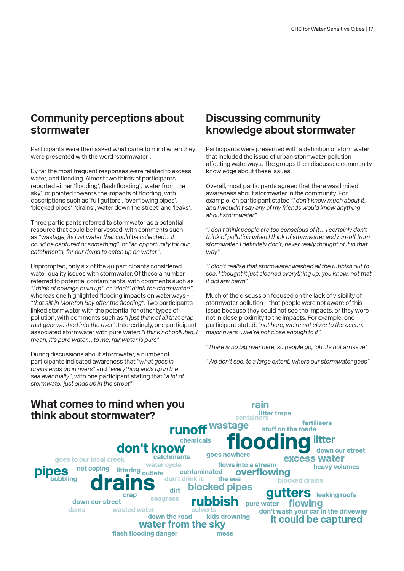## **Community perceptions about stormwater**

Participants were then asked what came to mind when they were presented with the word 'stormwater'.

By far the most frequent responses were related to excess water, and flooding. Almost two thirds of participants reported either 'flooding', flash flooding', 'water from the sky', or pointed towards the impacts of flooding, with descriptions such as 'full gutters', 'overflowing pipes', 'blocked pipes', 'drains', water down the street' and 'leaks'.

Three participants referred to stormwater as a potential resource that could be harvested, with comments such as *"wastage, its just water that could be collected… it could be captured or something"*, or *"an opportunity for our catchments, for our dams to catch up on water"*.

Unprompted, only six of the 40 participants considered water quality issues with stormwater. Of these a number referred to potential contaminants, with comments such as *"I think of sewage build up"*, or *"don't' drink the stormwater!"*, whereas one highlighted flooding impacts on waterways - *"that silt in Moreton Bay after the flooding"*. Two participants linked stormwater with the potential for other types of pollution, with comments such as *"I just think of all that crap that gets washed into the river"*. Interestingly, one participant associated stormwater with pure water: *"I think not polluted, I mean, it's pure water… to me, rainwater is pure"*.

During discussions about stormwater, a number of participants indicated awareness that *"what goes in drains ends up in rivers"* and *"everything ends up in the sea eventually"*, with one participant stating that *"a lot of stormwater just ends up in the street"*.

#### **Discussing community knowledge about stormwater**

Participants were presented with a definition of stormwater that included the issue of urban stormwater pollution affecting waterways. The groups then discussed community knowledge about these issues.

Overall, most participants agreed that there was limited awareness about stormwater in the community. For example, on participant stated *"I don't know much about it, and I wouldn't say any of my friends would know anything about stormwater"*

*"I don't think people are too conscious of it… I certainly don't think of pollution when I think of stormwater and run-off from stormwater. I definitely don't, never really thought of it in that way"*

*"I didn't realise that stormwater washed all the rubbish out to sea, I thought it just cleaned everything up, you know, not that it did any harm"*

Much of the discussion focused on the lack of visibility of stormwater pollution – that people were not aware of this issue because they could not see the impacts, or they were not in close proximity to the impacts. For example, one participant stated: *"not here, we're not close to the ocean, major rivers …we're not close enough to it"*

*"There is no big river here, so people go, 'oh, its not an issue"*

*"We don't see, to a large extent, where our stormwater goes"*

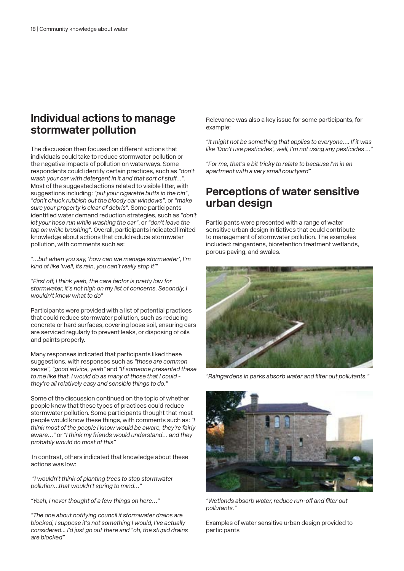#### **Individual actions to manage stormwater pollution**

The discussion then focused on different actions that individuals could take to reduce stormwater pollution or the negative impacts of pollution on waterways. Some respondents could identify certain practices, such as *"don't wash your car with detergent in it and that sort of stuff…"*. Most of the suggested actions related to visible litter, with suggestions including: *"put your cigarette butts in the bin"*, *"don't chuck rubbish out the bloody car windows"*, or *"make sure your property is clear of debris"*. Some participants identified water demand reduction strategies, such as *"don't let your hose run while washing the car"*, or *"don't leave the tap on while brushing"*. Overall, participants indicated limited knowledge about actions that could reduce stormwater pollution, with comments such as:

*"…but when you say, 'how can we manage stormwater', I'm kind of like 'well, its rain, you can't really stop it'"*

*"First off, I think yeah, the care factor is pretty low for stormwater, it's not high on my list of concerns. Secondly, I wouldn't know what to do"*

Participants were provided with a list of potential practices that could reduce stormwater pollution, such as reducing concrete or hard surfaces, covering loose soil, ensuring cars are serviced regularly to prevent leaks, or disposing of oils and paints properly.

Many responses indicated that participants liked these suggestions, with responses such as *"these are common sense", "good advice, yeah"* and *"If someone presented these to me like that, I would do as many of those that I could they're all relatively easy and sensible things to do."*

Some of the discussion continued on the topic of whether people knew that these types of practices could reduce stormwater pollution. Some participants thought that most people would know these things, with comments such as: *"I think most of the people I know would be aware, they're fairly aware…"* or *"I think my friends would understand… and they probably would do most of this"*

 In contrast, others indicated that knowledge about these actions was low:

 *"I wouldn't think of planting trees to stop stormwater pollution…that wouldn't spring to mind…"*

*"Yeah, I never thought of a few things on here…"* 

*"The one about notifying council if stormwater drains are blocked, I suppose it's not something I would, I've actually considered... I'd just go out there and "oh, the stupid drains are blocked"*

Relevance was also a key issue for some participants, for example:

*"It might not be something that applies to everyone…. If it was like 'Don't use pesticides', well, I'm not using any pesticides …"*

*"For me, that's a bit tricky to relate to because I'm in an apartment with a very small courtyard"*

#### **Perceptions of water sensitive urban design**

Participants were presented with a range of water sensitive urban design initiatives that could contribute to management of stormwater pollution. The examples included: raingardens, bioretention treatment wetlands, porous paving, and swales.



*"Raingardens in parks absorb water and filter out pollutants."*



*"Wetlands absorb water, reduce run-off and filter out pollutants."*

Examples of water sensitive urban design provided to participants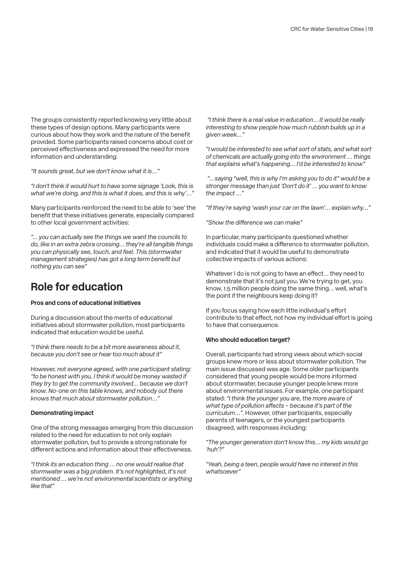The groups consistently reported knowing very little about these types of design options. Many participants were curious about how they work and the nature of the benefit provided. Some participants raised concerns about cost or perceived effectiveness and expressed the need for more information and understanding:

*"It sounds great, but we don't know what it is…"*

*"I don't think it would hurt to have some signage 'Look, this is what we're doing, and this is what it does, and this is why'…"*

Many participants reinforced the need to be able to 'see' the benefit that these initiatives generate, especially compared to other local government activities:

*"... you can actually see the things we want the councils to do, like in an extra zebra crossing… they're all tangible things you can physically see, touch, and feel. This (stormwater management strategies) has got a long term benefit but nothing you can see"*

## **Role for education**

#### **Pros and cons of educational initiatives**

During a discussion about the merits of educational initiatives about stormwater pollution, most participants indicated that education would be useful.

*"I think there needs to be a bit more awareness about it, because you don't see or hear too much about it"*

*However, not everyone agreed, with one participant stating: "to be honest with you, I think it would be money wasted if they try to get the community involved… because we don't know. No-one on this table knows, and nobody out there knows that much about stormwater pollution…"*

#### **Demonstrating impact**

One of the strong messages emerging from this discussion related to the need for education to not only explain stormwater pollution, but to provide a strong rationale for different actions and information about their effectiveness.

*"I think its an education thing … no one would realise that stormwater was a big problem. It's not highlighted, it's not mentioned … we're not environmental scientists or anything like that"*

 *"I think there is a real value in education… it would be really interesting to show people how much rubbish builds up in a given week…"*

*"I would be interested to see what sort of stats, and what sort of chemicals are actually going into the environment … things that explains what's happening… I'd be interested to know"*

 *"…saying "well, this is why I'm asking you to do it" would be a stronger message than just 'Don't do it' … you want to know the impact …"*

*"If they're saying 'wash your car on the lawn'… explain why…"* 

*"Show the difference we can make"*

In particular, many participants questioned whether individuals could make a difference to stormwater pollution, and indicated that it would be useful to demonstrate collective impacts of various actions:

Whatever I do is not going to have an effect… they need to demonstrate that it's not just you. We're trying to get, you know, 1.5 million people doing the same thing… well, what's the point if the neighbours keep doing it?

If you focus saying how each little individual's effort contribute to that effect, not how my individual effort is going to have that consequence.

#### **Who should education target?**

Overall, participants had strong views about which social groups knew more or less about stormwater pollution. The main issue discussed was age. Some older participants considered that young people would be more informed about stormwater, because younger people knew more about environmental issues. For example, one participant stated: *"I think the younger you are, the more aware of what type of pollution affects – because it's part of the curriculum…"*. However, other participants, especially parents of teenagers, or the youngest participants disagreed, with responses including:

*"The younger generation don't know this… my kids would go 'huh'?"*

*"Yeah, being a teen, people would have no interest in this whatsoever"*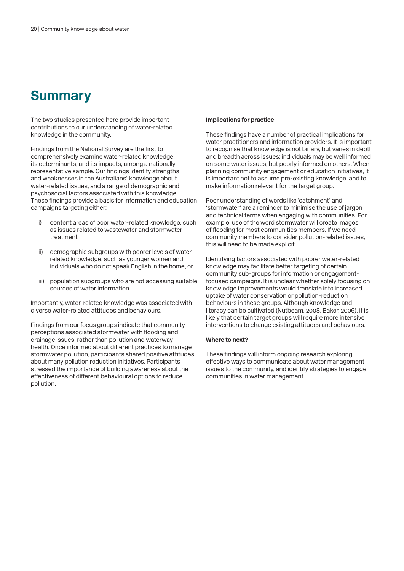# **Summary**

The two studies presented here provide important contributions to our understanding of water-related knowledge in the community.

Findings from the National Survey are the first to comprehensively examine water-related knowledge, its determinants, and its impacts, among a nationally representative sample. Our findings identify strengths and weaknesses in the Australians' knowledge about water-related issues, and a range of demographic and psychosocial factors associated with this knowledge. These findings provide a basis for information and education campaigns targeting either:

- i) content areas of poor water-related knowledge, such as issues related to wastewater and stormwater treatment
- ii) demographic subgroups with poorer levels of waterrelated knowledge, such as younger women and individuals who do not speak English in the home, or
- iii) population subgroups who are not accessing suitable sources of water information.

Importantly, water-related knowledge was associated with diverse water-related attitudes and behaviours.

Findings from our focus groups indicate that community perceptions associated stormwater with flooding and drainage issues, rather than pollution and waterway health. Once informed about different practices to manage stormwater pollution, participants shared positive attitudes about many pollution reduction initiatives, Participants stressed the importance of building awareness about the effectiveness of different behavioural options to reduce pollution.

#### **Implications for practice**

These findings have a number of practical implications for water practitioners and information providers. It is important to recognise that knowledge is not binary, but varies in depth and breadth across issues: individuals may be well informed on some water issues, but poorly informed on others. When planning community engagement or education initiatives, it is important not to assume pre-existing knowledge, and to make information relevant for the target group.

Poor understanding of words like 'catchment' and 'stormwater' are a reminder to minimise the use of jargon and technical terms when engaging with communities. For example, use of the word stormwater will create images of flooding for most communities members. If we need community members to consider pollution-related issues, this will need to be made explicit.

Identifying factors associated with poorer water-related knowledge may facilitate better targeting of certain community sub-groups for information or engagementfocused campaigns. It is unclear whether solely focusing on knowledge improvements would translate into increased uptake of water conservation or pollution-reduction behaviours in these groups. Although knowledge and literacy can be cultivated (Nutbeam, 2008, Baker, 2006), it is likely that certain target groups will require more intensive interventions to change existing attitudes and behaviours.

#### **Where to next?**

These findings will inform ongoing research exploring effective ways to communicate about water management issues to the community, and identify strategies to engage communities in water management.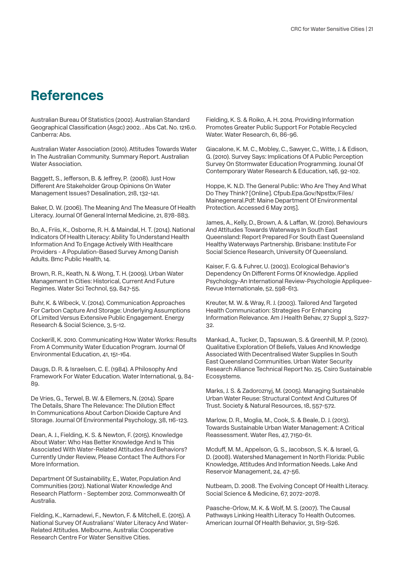## **References**

Australian Bureau Of Statistics (2002). Australian Standard Geographical Classification (Asgc) 2002. . Abs Cat. No. 1216.0. Canberra: Abs.

Australian Water Association (2010). Attitudes Towards Water In The Australian Community. Summary Report. Australian Water Association.

Baggett, S., Jefferson, B. & Jeffrey, P. (2008). Just How Different Are Stakeholder Group Opinions On Water Management Issues? Desalination, 218, 132-141.

Baker, D. W. (2006). The Meaning And The Measure Of Health Literacy. Journal Of General Internal Medicine, 21, 878-883.

Bo, A., Friis, K., Osborne, R. H. & Maindal, H. T. (2014). National Indicators Of Health Literacy: Ability To Understand Health Information And To Engage Actively With Healthcare Providers - A Population-Based Survey Among Danish Adults. Bmc Public Health, 14.

Brown, R. R., Keath, N. & Wong, T. H. (2009). Urban Water Management In Cities: Historical, Current And Future Regimes. Water Sci Technol, 59, 847-55.

Buhr, K. & Wibeck, V. (2014). Communication Approaches For Carbon Capture And Storage: Underlying Assumptions Of Limited Versus Extensive Public Engagement. Energy Research & Social Science, 3, 5-12.

Cockerill, K. 2010. Communicating How Water Works: Results From A Community Water Education Program. Journal Of Environmental Education, 41, 151-164.

Daugs, D. R. & Israelsen, C. E. (1984). A Philosophy And Framework For Water Education. Water International, 9, 84- 89.

De Vries, G., Terwel, B. W. & Ellemers, N. (2014). Spare The Details, Share The Relevance: The Dilution Effect In Communications About Carbon Dioxide Capture And Storage. Journal Of Environmental Psychology, 38, 116-123.

Dean, A. J., Fielding, K. S. & Newton, F. (2015). Knowledge About Water: Who Has Better Knowledge And Is This Associated With Water-Related Attitudes And Behaviors? Currently Under Review, Please Contact The Authors For More Information.

Department Of Sustainability, E., Water, Population And Communities (2012). National Water Knowledge And Research Platform - September 2012. Commonwealth Of Australia.

Fielding, K., Karnadewi, F., Newton, F. & Mitchell, E. (2015). A National Survey Of Australians' Water Literacy And Water-Related Attitudes. Melbourne, Australia: Cooperative Research Centre For Water Sensitive Cities.

Fielding, K. S. & Roiko, A. H. 2014. Providing Information Promotes Greater Public Support For Potable Recycled Water. Water Research, 61, 86-96.

Giacalone, K. M. C., Mobley, C., Sawyer, C., Witte, J. & Edison, G. (2010). Survey Says: Implications Of A Public Perception Survey On Stormwater Education Programming. Jounal Of Contemporary Water Research & Education, 146, 92-102.

Hoppe, K. N.D. The General Public: Who Are They And What Do They Think? [Online]. Cfpub.Epa.Gov/Npstbx/Files/ Mainegeneral.Pdf: Maine Department Of Environmental Protection. Accessed 6 May 2015].

James, A., Kelly, D., Brown, A. & Laffan, W. (2010). Behaviours And Attitudes Towards Waterways In South East Queensland: Report Prepared For South East Queensland Healthy Waterways Partnership. Brisbane: Institute For Social Science Research, University Of Queensland.

Kaiser, F. G. & Fuhrer, U. (2003). Ecological Behavior's Dependency On Different Forms Of Knowledge. Applied Psychology-An International Review-Psychologie Appliquee-Revue Internationale, 52, 598-613.

Kreuter, M. W. & Wray, R. J. (2003). Tailored And Targeted Health Communication: Strategies For Enhancing Information Relevance. Am J Health Behav, 27 Suppl 3, S227- 32.

Mankad, A., Tucker, D., Tapsuwan, S. & Greenhill, M. P. (2010). Qualitative Exploration Of Beliefs, Values And Knowledge Associated With Decentralised Water Supplies In South East Queensland Communities. Urban Water Security Research Alliance Technical Report No. 25. Csiro Sustainable Ecosystems.

Marks, J. S. & Zadoroznyj, M. (2005). Managing Sustainable Urban Water Reuse: Structural Context And Cultures Of Trust. Society & Natural Resources, 18, 557-572.

Marlow, D. R., Moglia, M., Cook, S. & Beale, D. J. (2013). Towards Sustainable Urban Water Management: A Critical Reassessment. Water Res, 47, 7150-61.

Mcduff, M. M., Appelson, G. S., Jacobson, S. K. & Israel, G. D. (2008). Watershed Management In North Florida: Public Knowledge, Attitudes And Information Needs. Lake And Reservoir Management, 24, 47-56.

Nutbeam, D. 2008. The Evolving Concept Of Health Literacy. Social Science & Medicine, 67, 2072-2078.

Paasche-Orlow, M. K. & Wolf, M. S. (2007). The Causal Pathways Linking Health Literacy To Health Outcomes. American Journal Of Health Behavior, 31, S19-S26.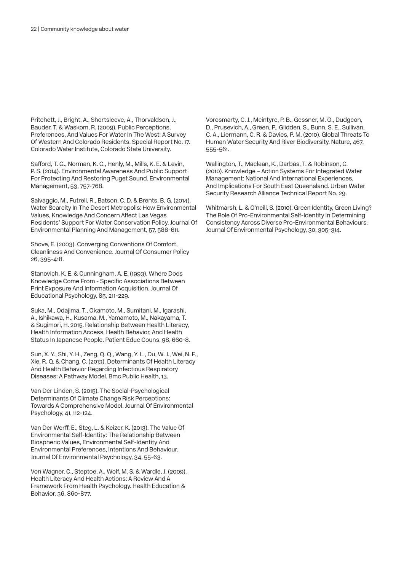Pritchett, J., Bright, A., Shortsleeve, A., Thorvaldson, J., Bauder, T. & Waskom, R. (2009). Public Perceptions, Preferences, And Values For Water In The West: A Survey Of Western And Colorado Residents. Special Report No. 17. Colorado Water Institute, Colorado State University.

Safford, T. G., Norman, K. C., Henly, M., Mills, K. E. & Levin, P. S. (2014). Environmental Awareness And Public Support For Protecting And Restoring Puget Sound. Environmental Management, 53, 757-768.

Salvaggio, M., Futrell, R., Batson, C. D. & Brents, B. G. (2014). Water Scarcity In The Desert Metropolis: How Environmental Values, Knowledge And Concern Affect Las Vegas Residents' Support For Water Conservation Policy. Journal Of Environmental Planning And Management, 57, 588-611.

Shove, E. (2003). Converging Conventions Of Comfort, Cleanliness And Convenience. Journal Of Consumer Policy 26, 395-418.

Stanovich, K. E. & Cunningham, A. E. (1993). Where Does Knowledge Come From - Specific Associations Between Print Exposure And Information Acquisition. Journal Of Educational Psychology, 85, 211-229.

Suka, M., Odajima, T., Okamoto, M., Sumitani, M., Igarashi, A., Ishikawa, H., Kusama, M., Yamamoto, M., Nakayama, T. & Sugimori, H. 2015. Relationship Between Health Literacy, Health Information Access, Health Behavior, And Health Status In Japanese People. Patient Educ Couns, 98, 660-8.

Sun, X. Y., Shi, Y. H., Zeng, Q. Q., Wang, Y. L., Du, W. J., Wei, N. F., Xie, R. Q. & Chang, C. (2013). Determinants Of Health Literacy And Health Behavior Regarding Infectious Respiratory Diseases: A Pathway Model. Bmc Public Health, 13.

Van Der Linden, S. (2015). The Social-Psychological Determinants Of Climate Change Risk Perceptions: Towards A Comprehensive Model. Journal Of Environmental Psychology, 41, 112-124.

Van Der Werff, E., Steg, L. & Keizer, K. (2013). The Value Of Environmental Self-Identity: The Relationship Between Biospheric Values, Environmental Self-Identity And Environmental Preferences, Intentions And Behaviour. Journal Of Environmental Psychology, 34, 55-63.

Von Wagner, C., Steptoe, A., Wolf, M. S. & Wardle, J. (2009). Health Literacy And Health Actions: A Review And A Framework From Health Psychology. Health Education & Behavior, 36, 860-877.

Vorosmarty, C. J., Mcintyre, P. B., Gessner, M. O., Dudgeon, D., Prusevich, A., Green, P., Glidden, S., Bunn, S. E., Sullivan, C. A., Liermann, C. R. & Davies, P. M. (2010). Global Threats To Human Water Security And River Biodiversity. Nature, 467, 555-561.

Wallington, T., Maclean, K., Darbas, T. & Robinson, C. (2010). Knowledge – Action Systems For Integrated Water Management: National And International Experiences, And Implications For South East Queensland. Urban Water Security Research Alliance Technical Report No. 29.

Whitmarsh, L. & O'neill, S. (2010). Green Identity, Green Living? The Role Of Pro-Environmental Self-Identity In Determining Consistency Across Diverse Pro-Environmental Behaviours. Journal Of Environmental Psychology, 30, 305-314.